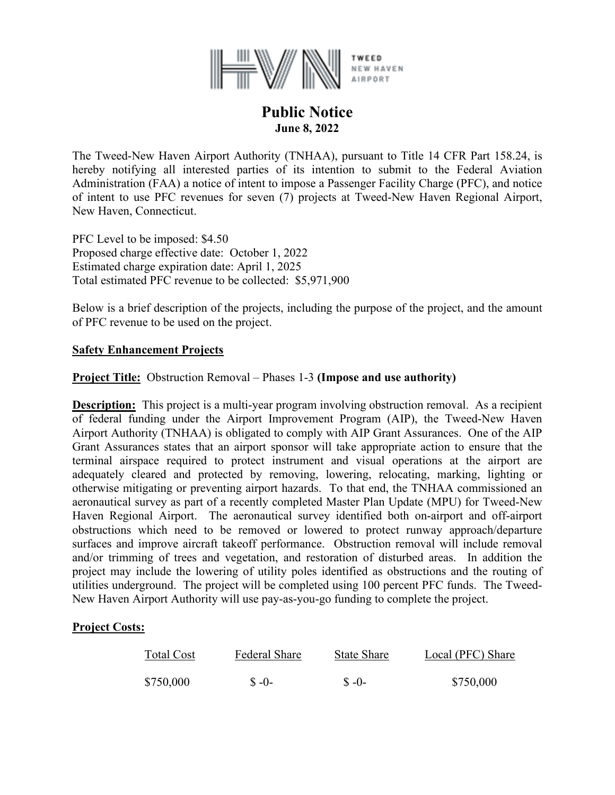

# **Public Notice June 8, 2022**

The Tweed-New Haven Airport Authority (TNHAA), pursuant to Title 14 CFR Part 158.24, is hereby notifying all interested parties of its intention to submit to the Federal Aviation Administration (FAA) a notice of intent to impose a Passenger Facility Charge (PFC), and notice of intent to use PFC revenues for seven (7) projects at Tweed-New Haven Regional Airport, New Haven, Connecticut.

PFC Level to be imposed: \$4.50 Proposed charge effective date: October 1, 2022 Estimated charge expiration date: April 1, 2025 Total estimated PFC revenue to be collected: \$5,971,900

Below is a brief description of the projects, including the purpose of the project, and the amount of PFC revenue to be used on the project.

### **Safety Enhancement Projects**

### **Project Title:** Obstruction Removal – Phases 1-3 **(Impose and use authority)**

**Description:** This project is a multi-year program involving obstruction removal. As a recipient of federal funding under the Airport Improvement Program (AIP), the Tweed-New Haven Airport Authority (TNHAA) is obligated to comply with AIP Grant Assurances. One of the AIP Grant Assurances states that an airport sponsor will take appropriate action to ensure that the terminal airspace required to protect instrument and visual operations at the airport are adequately cleared and protected by removing, lowering, relocating, marking, lighting or otherwise mitigating or preventing airport hazards. To that end, the TNHAA commissioned an aeronautical survey as part of a recently completed Master Plan Update (MPU) for Tweed-New Haven Regional Airport. The aeronautical survey identified both on-airport and off-airport obstructions which need to be removed or lowered to protect runway approach/departure surfaces and improve aircraft takeoff performance. Obstruction removal will include removal and/or trimming of trees and vegetation, and restoration of disturbed areas. In addition the project may include the lowering of utility poles identified as obstructions and the routing of utilities underground. The project will be completed using 100 percent PFC funds. The Tweed-New Haven Airport Authority will use pay-as-you-go funding to complete the project.

#### **Project Costs:**

| Total Cost | <b>Federal Share</b> | State Share | Local (PFC) Share |
|------------|----------------------|-------------|-------------------|
| \$750,000  | $$ -0-$              | $S - 0$     | \$750,000         |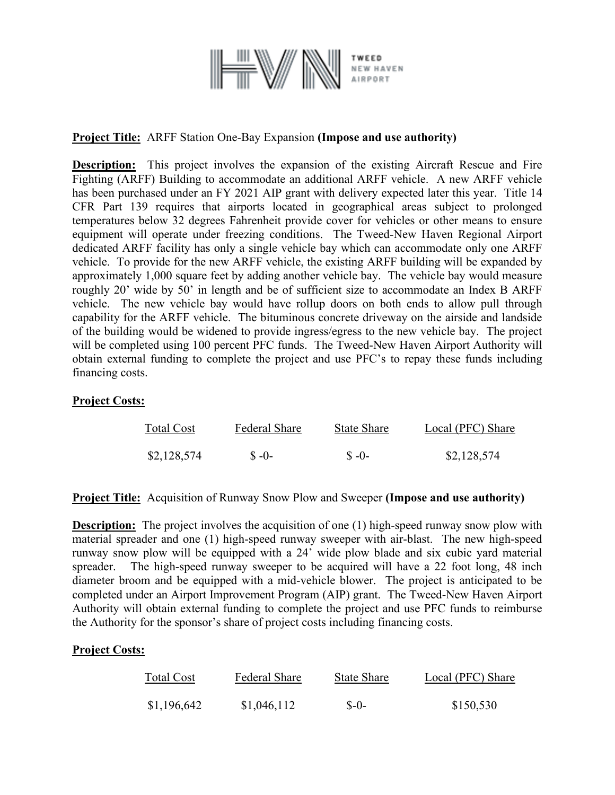

# **Project Title:** ARFF Station One-Bay Expansion **(Impose and use authority)**

**Description:** This project involves the expansion of the existing Aircraft Rescue and Fire Fighting (ARFF) Building to accommodate an additional ARFF vehicle. A new ARFF vehicle has been purchased under an FY 2021 AIP grant with delivery expected later this year. Title 14 CFR Part 139 requires that airports located in geographical areas subject to prolonged temperatures below 32 degrees Fahrenheit provide cover for vehicles or other means to ensure equipment will operate under freezing conditions. The Tweed-New Haven Regional Airport dedicated ARFF facility has only a single vehicle bay which can accommodate only one ARFF vehicle. To provide for the new ARFF vehicle, the existing ARFF building will be expanded by approximately 1,000 square feet by adding another vehicle bay. The vehicle bay would measure roughly 20' wide by 50' in length and be of sufficient size to accommodate an Index B ARFF vehicle. The new vehicle bay would have rollup doors on both ends to allow pull through capability for the ARFF vehicle. The bituminous concrete driveway on the airside and landside of the building would be widened to provide ingress/egress to the new vehicle bay. The project will be completed using 100 percent PFC funds. The Tweed-New Haven Airport Authority will obtain external funding to complete the project and use PFC's to repay these funds including financing costs.

#### **Project Costs:**

| Total Cost  | Federal Share | State Share | Local (PFC) Share |
|-------------|---------------|-------------|-------------------|
| \$2,128,574 | $S - 0$       | $S - 0$     | \$2,128,574       |

**Project Title:** Acquisition of Runway Snow Plow and Sweeper **(Impose and use authority)**

**Description:** The project involves the acquisition of one (1) high-speed runway snow plow with material spreader and one (1) high-speed runway sweeper with air-blast. The new high-speed runway snow plow will be equipped with a 24' wide plow blade and six cubic yard material spreader. The high-speed runway sweeper to be acquired will have a 22 foot long, 48 inch diameter broom and be equipped with a mid-vehicle blower. The project is anticipated to be completed under an Airport Improvement Program (AIP) grant. The Tweed-New Haven Airport Authority will obtain external funding to complete the project and use PFC funds to reimburse the Authority for the sponsor's share of project costs including financing costs.

#### **Project Costs:**

| Total Cost  | <b>Federal Share</b> | State Share | Local (PFC) Share |
|-------------|----------------------|-------------|-------------------|
| \$1,196,642 | \$1,046,112          | $S-0-$      | \$150,530         |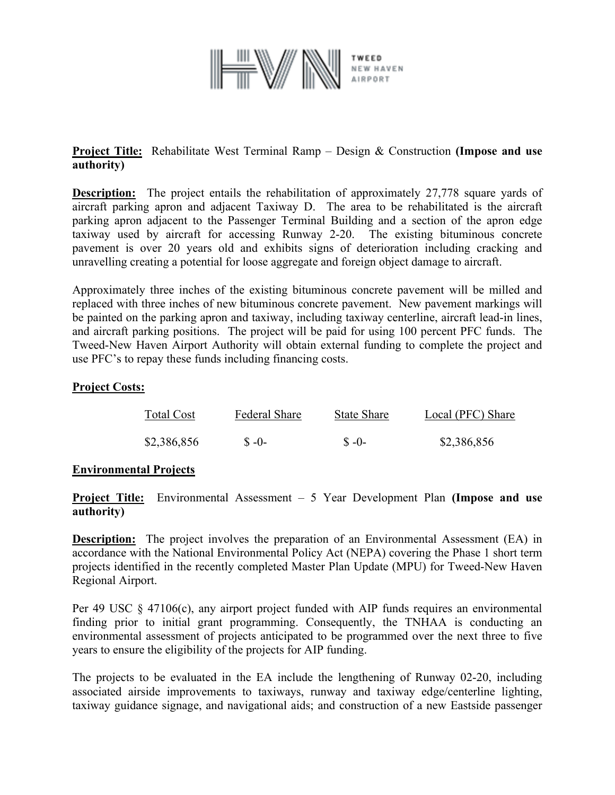

## **Project Title:** Rehabilitate West Terminal Ramp – Design & Construction **(Impose and use authority)**

**Description:** The project entails the rehabilitation of approximately 27,778 square yards of aircraft parking apron and adjacent Taxiway D. The area to be rehabilitated is the aircraft parking apron adjacent to the Passenger Terminal Building and a section of the apron edge taxiway used by aircraft for accessing Runway 2-20. The existing bituminous concrete pavement is over 20 years old and exhibits signs of deterioration including cracking and unravelling creating a potential for loose aggregate and foreign object damage to aircraft.

Approximately three inches of the existing bituminous concrete pavement will be milled and replaced with three inches of new bituminous concrete pavement. New pavement markings will be painted on the parking apron and taxiway, including taxiway centerline, aircraft lead-in lines, and aircraft parking positions. The project will be paid for using 100 percent PFC funds. The Tweed-New Haven Airport Authority will obtain external funding to complete the project and use PFC's to repay these funds including financing costs.

### **Project Costs:**

| Total Cost  | Federal Share | State Share | Local (PFC) Share |
|-------------|---------------|-------------|-------------------|
| \$2,386,856 | $S - 0$       | $S - 0$     | \$2,386,856       |

#### **Environmental Projects**

**Project Title:** Environmental Assessment – 5 Year Development Plan **(Impose and use authority)**

**Description:** The project involves the preparation of an Environmental Assessment (EA) in accordance with the National Environmental Policy Act (NEPA) covering the Phase 1 short term projects identified in the recently completed Master Plan Update (MPU) for Tweed-New Haven Regional Airport.

Per 49 USC  $\&$  47106(c), any airport project funded with AIP funds requires an environmental finding prior to initial grant programming. Consequently, the TNHAA is conducting an environmental assessment of projects anticipated to be programmed over the next three to five years to ensure the eligibility of the projects for AIP funding.

The projects to be evaluated in the EA include the lengthening of Runway 02-20, including associated airside improvements to taxiways, runway and taxiway edge/centerline lighting, taxiway guidance signage, and navigational aids; and construction of a new Eastside passenger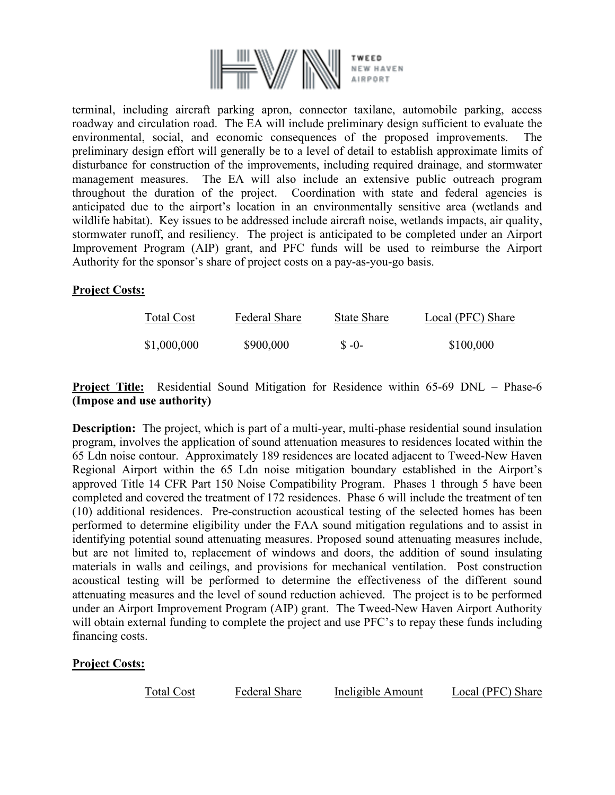

terminal, including aircraft parking apron, connector taxilane, automobile parking, access roadway and circulation road. The EA will include preliminary design sufficient to evaluate the environmental, social, and economic consequences of the proposed improvements. The preliminary design effort will generally be to a level of detail to establish approximate limits of disturbance for construction of the improvements, including required drainage, and stormwater management measures. The EA will also include an extensive public outreach program throughout the duration of the project. Coordination with state and federal agencies is anticipated due to the airport's location in an environmentally sensitive area (wetlands and wildlife habitat). Key issues to be addressed include aircraft noise, wetlands impacts, air quality, stormwater runoff, and resiliency. The project is anticipated to be completed under an Airport Improvement Program (AIP) grant, and PFC funds will be used to reimburse the Airport Authority for the sponsor's share of project costs on a pay-as-you-go basis.

#### **Project Costs:**

| <b>Total Cost</b> | <b>Federal Share</b> | <b>State Share</b> | Local (PFC) Share |
|-------------------|----------------------|--------------------|-------------------|
| \$1,000,000       | \$900,000            | $S - 0$            | \$100,000         |

## **Project Title:** Residential Sound Mitigation for Residence within 65-69 DNL – Phase-6 **(Impose and use authority)**

**Description:** The project, which is part of a multi-year, multi-phase residential sound insulation program, involves the application of sound attenuation measures to residences located within the 65 Ldn noise contour. Approximately 189 residences are located adjacent to Tweed-New Haven Regional Airport within the 65 Ldn noise mitigation boundary established in the Airport's approved Title 14 CFR Part 150 Noise Compatibility Program. Phases 1 through 5 have been completed and covered the treatment of 172 residences. Phase 6 will include the treatment of ten (10) additional residences. Pre-construction acoustical testing of the selected homes has been performed to determine eligibility under the FAA sound mitigation regulations and to assist in identifying potential sound attenuating measures. Proposed sound attenuating measures include, but are not limited to, replacement of windows and doors, the addition of sound insulating materials in walls and ceilings, and provisions for mechanical ventilation. Post construction acoustical testing will be performed to determine the effectiveness of the different sound attenuating measures and the level of sound reduction achieved. The project is to be performed under an Airport Improvement Program (AIP) grant. The Tweed-New Haven Airport Authority will obtain external funding to complete the project and use PFC's to repay these funds including financing costs.

#### **Project Costs:**

| <b>Total Cost</b> | <b>Federal Share</b> | Ineligible Amount | Local (PFC) Share |
|-------------------|----------------------|-------------------|-------------------|
|                   |                      |                   |                   |